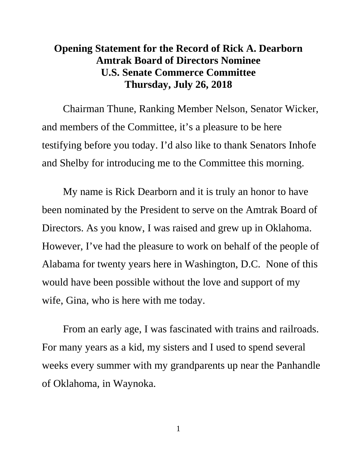## **Opening Statement for the Record of Rick A. Dearborn Amtrak Board of Directors Nominee U.S. Senate Commerce Committee Thursday, July 26, 2018**

Chairman Thune, Ranking Member Nelson, Senator Wicker, and members of the Committee, it's a pleasure to be here testifying before you today. I'd also like to thank Senators Inhofe and Shelby for introducing me to the Committee this morning.

My name is Rick Dearborn and it is truly an honor to have been nominated by the President to serve on the Amtrak Board of Directors. As you know, I was raised and grew up in Oklahoma. However, I've had the pleasure to work on behalf of the people of Alabama for twenty years here in Washington, D.C. None of this would have been possible without the love and support of my wife, Gina, who is here with me today.

From an early age, I was fascinated with trains and railroads. For many years as a kid, my sisters and I used to spend several weeks every summer with my grandparents up near the Panhandle of Oklahoma, in Waynoka.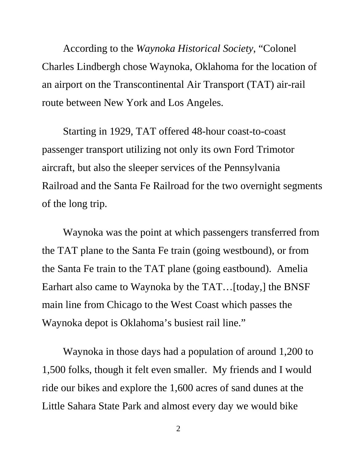According to the *Waynoka Historical Society*, "Colonel Charles Lindbergh chose Waynoka, Oklahoma for the location of an airport on the Transcontinental Air Transport (TAT) air-rail route between New York and Los Angeles.

Starting in 1929, TAT offered 48-hour coast-to-coast passenger transport utilizing not only its own [Ford Trimotor](https://en.wikipedia.org/wiki/Ford_Trimotor) aircraft, but also the sleeper services of the [Pennsylvania](https://en.wikipedia.org/wiki/Pennsylvania_Railroad)  [Railroad](https://en.wikipedia.org/wiki/Pennsylvania_Railroad) and the [Santa Fe Railroad](https://en.wikipedia.org/wiki/Santa_Fe_Railroad) for the two overnight segments of the long trip.

Waynoka was the point at which passengers transferred from the TAT plane to the Santa Fe train (going westbound), or from the Santa Fe train to the TAT plane (going eastbound). [Amelia](https://en.wikipedia.org/wiki/Amelia_Earhart)  [Earhart](https://en.wikipedia.org/wiki/Amelia_Earhart) also came to Waynoka by the TAT…[today,] the BNSF main line from Chicago to the West Coast which passes the Waynoka depot is Oklahoma's busiest rail line."

Waynoka in those days had a population of around 1,200 to 1,500 folks, though it felt even smaller. My friends and I would ride our bikes and explore the 1,600 acres of sand dunes at the Little Sahara State Park and almost every day we would bike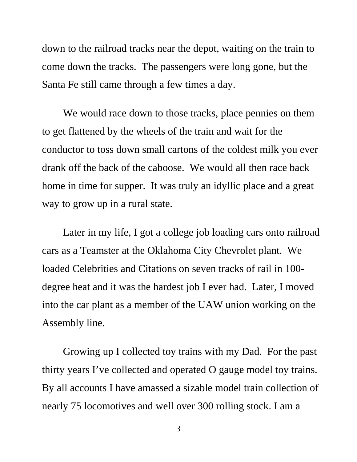down to the railroad tracks near the depot, waiting on the train to come down the tracks. The passengers were long gone, but the Santa Fe still came through a few times a day.

We would race down to those tracks, place pennies on them to get flattened by the wheels of the train and wait for the conductor to toss down small cartons of the coldest milk you ever drank off the back of the caboose. We would all then race back home in time for supper. It was truly an idyllic place and a great way to grow up in a rural state.

Later in my life, I got a college job loading cars onto railroad cars as a Teamster at the Oklahoma City Chevrolet plant. We loaded Celebrities and Citations on seven tracks of rail in 100 degree heat and it was the hardest job I ever had. Later, I moved into the car plant as a member of the UAW union working on the Assembly line.

Growing up I collected toy trains with my Dad. For the past thirty years I've collected and operated O gauge model toy trains. By all accounts I have amassed a sizable model train collection of nearly 75 locomotives and well over 300 rolling stock. I am a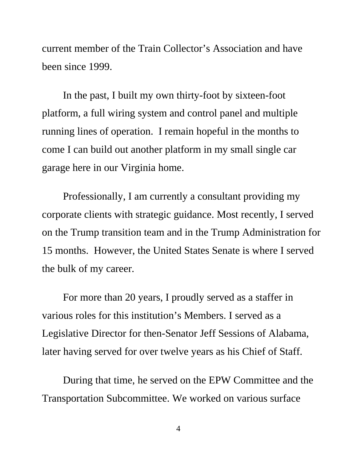current member of the Train Collector's Association and have been since 1999.

In the past, I built my own thirty-foot by sixteen-foot platform, a full wiring system and control panel and multiple running lines of operation. I remain hopeful in the months to come I can build out another platform in my small single car garage here in our Virginia home.

Professionally, I am currently a consultant providing my corporate clients with strategic guidance. Most recently, I served on the Trump transition team and in the Trump Administration for 15 months. However, the United States Senate is where I served the bulk of my career.

For more than 20 years, I proudly served as a staffer in various roles for this institution's Members. I served as a Legislative Director for then-Senator Jeff Sessions of Alabama, later having served for over twelve years as his Chief of Staff.

During that time, he served on the EPW Committee and the Transportation Subcommittee. We worked on various surface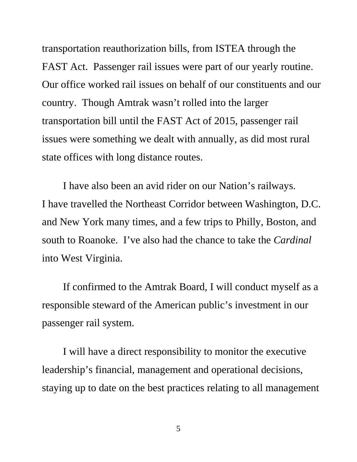transportation reauthorization bills, from ISTEA through the FAST Act. Passenger rail issues were part of our yearly routine. Our office worked rail issues on behalf of our constituents and our country. Though Amtrak wasn't rolled into the larger transportation bill until the FAST Act of 2015, passenger rail issues were something we dealt with annually, as did most rural state offices with long distance routes.

I have also been an avid rider on our Nation's railways. I have travelled the Northeast Corridor between Washington, D.C. and New York many times, and a few trips to Philly, Boston, and south to Roanoke. I've also had the chance to take the *Cardinal* into West Virginia.

If confirmed to the Amtrak Board, I will conduct myself as a responsible steward of the American public's investment in our passenger rail system.

I will have a direct responsibility to monitor the executive leadership's financial, management and operational decisions, staying up to date on the best practices relating to all management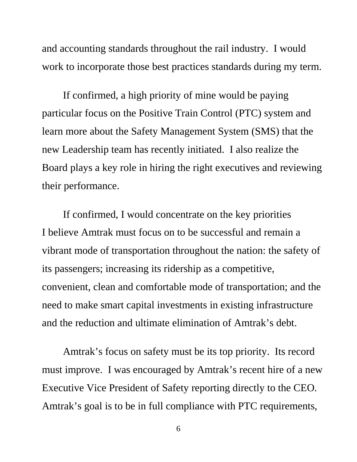and accounting standards throughout the rail industry. I would work to incorporate those best practices standards during my term.

If confirmed, a high priority of mine would be paying particular focus on the Positive Train Control (PTC) system and learn more about the Safety Management System (SMS) that the new Leadership team has recently initiated. I also realize the Board plays a key role in hiring the right executives and reviewing their performance.

If confirmed, I would concentrate on the key priorities I believe Amtrak must focus on to be successful and remain a vibrant mode of transportation throughout the nation: the safety of its passengers; increasing its ridership as a competitive, convenient, clean and comfortable mode of transportation; and the need to make smart capital investments in existing infrastructure and the reduction and ultimate elimination of Amtrak's debt.

Amtrak's focus on safety must be its top priority. Its record must improve. I was encouraged by Amtrak's recent hire of a new Executive Vice President of Safety reporting directly to the CEO. Amtrak's goal is to be in full compliance with PTC requirements,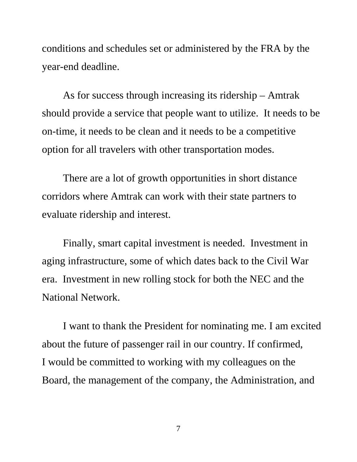conditions and schedules set or administered by the FRA by the year-end deadline.

As for success through increasing its ridership – Amtrak should provide a service that people want to utilize. It needs to be on-time, it needs to be clean and it needs to be a competitive option for all travelers with other transportation modes.

There are a lot of growth opportunities in short distance corridors where Amtrak can work with their state partners to evaluate ridership and interest.

Finally, smart capital investment is needed. Investment in aging infrastructure, some of which dates back to the Civil War era. Investment in new rolling stock for both the NEC and the National Network.

I want to thank the President for nominating me. I am excited about the future of passenger rail in our country. If confirmed, I would be committed to working with my colleagues on the Board, the management of the company, the Administration, and